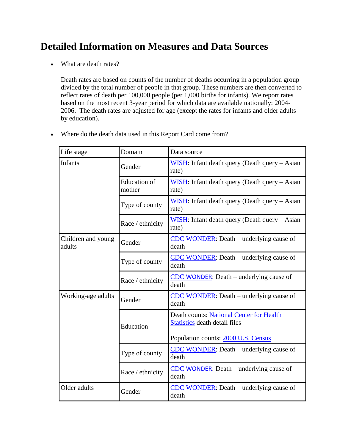## **Detailed Information on Measures and Data Sources**

What are death rates?

Death rates are based on counts of the number of deaths occurring in a population group divided by the total number of people in that group. These numbers are then converted to reflect rates of death per 100,000 people (per 1,000 births for infants). We report rates based on the most recent 3-year period for which data are available nationally: 2004- 2006. The death rates are adjusted for age (except the rates for infants and older adults by education).

| Life stage                   | Domain                        | Data source                                                               |  |
|------------------------------|-------------------------------|---------------------------------------------------------------------------|--|
| <b>Infants</b>               | Gender                        | WISH: Infant death query (Death query – Asian<br>rate)                    |  |
|                              | <b>Education</b> of<br>mother | WISH: Infant death query (Death query – Asian<br>rate)                    |  |
|                              | Type of county                | WISH: Infant death query (Death query – Asian<br>rate)                    |  |
|                              | Race / ethnicity              | WISH: Infant death query (Death query – Asian<br>rate)                    |  |
| Children and young<br>adults | Gender                        | <b>CDC WONDER:</b> Death – underlying cause of<br>death                   |  |
|                              | Type of county                | <b>CDC WONDER:</b> Death – underlying cause of<br>death                   |  |
|                              | Race / ethnicity              | $\overline{\text{CDC}$ WONDER: Death – underlying cause of<br>death       |  |
| Working-age adults           | Gender                        | <b>CDC WONDER:</b> Death – underlying cause of<br>death                   |  |
|                              | Education                     | Death counts: National Center for Health<br>Statistics death detail files |  |
|                              |                               | Population counts: 2000 U.S. Census                                       |  |
|                              | Type of county                | <b>CDC WONDER:</b> Death – underlying cause of<br>death                   |  |
|                              | Race / ethnicity              | CDC WONDER: Death – underlying cause of<br>death                          |  |
| Older adults                 | Gender                        | CDC WONDER: Death – underlying cause of<br>death                          |  |

Where do the death data used in this Report Card come from?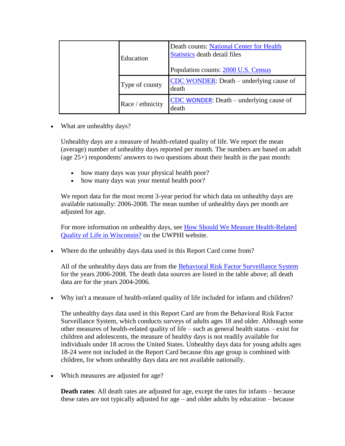|  | Education        | Death counts: National Center for Health<br><b>Statistics death detail files</b><br>Population counts: 2000 U.S. Census |
|--|------------------|-------------------------------------------------------------------------------------------------------------------------|
|  | Type of county   | $\overline{\text{CDC WONDER}}$ : Death – underlying cause of<br>death                                                   |
|  | Race / ethnicity | CDC WONDER: Death – underlying cause of<br>death                                                                        |

• What are unhealthy days?

Unhealthy days are a measure of health-related quality of life. We report the mean (average) number of unhealthy days reported per month. The numbers are based on adult (age  $25+$ ) respondents' answers to two questions about their health in the past month:

- how many days was your physical health poor?
- how many days was your mental health poor?

We report data for the most recent 3-year period for which data on unhealthy days are available nationally: 2006-2008. The mean number of unhealthy days per month are adjusted for age.

For more information on unhealthy days, see [How Should We Measure Health-Related](http://uwphi.pophealth.wisc.edu/publications/briefReports/briefReportv01n01.pdf)  [Quality of Life in Wisconsin?](http://uwphi.pophealth.wisc.edu/publications/briefReports/briefReportv01n01.pdf) on the UWPHI website.

Where do the unhealthy days data used in this Report Card come from?

All of the unhealthy days data are from the [Behavioral Risk Factor Surveillance System](http://www.cdc.gov/brfss) for the years 2006-2008. The death data sources are listed in the table above; all death data are for the years 2004-2006.

Why isn't a measure of health-related quality of life included for infants and children?

The unhealthy days data used in this Report Card are from the Behavioral Risk Factor Surveillance System, which conducts surveys of adults ages 18 and older. Although some other measures of health-related quality of life – such as general health status – exist for children and adolescents, the measure of healthy days is not readily available for individuals under 18 across the United States. Unhealthy days data for young adults ages 18-24 were not included in the Report Card because this age group is combined with children, for whom unhealthy days data are not available nationally.

• Which measures are adjusted for age?

**Death rates**: All death rates are adjusted for age, except the rates for infants – because these rates are not typically adjusted for age – and older adults by education – because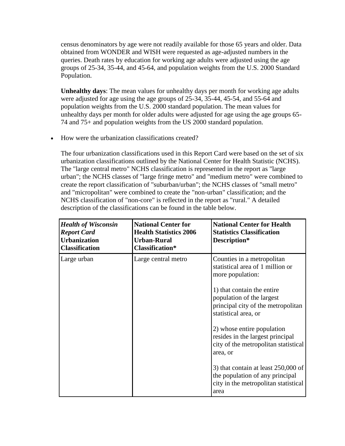census denominators by age were not readily available for those 65 years and older. Data obtained from WONDER and WISH were requested as age-adjusted numbers in the queries. Death rates by education for working age adults were adjusted using the age groups of 25-34, 35-44, and 45-64, and population weights from the U.S. 2000 Standard Population.

**Unhealthy days**: The mean values for unhealthy days per month for working age adults were adjusted for age using the age groups of 25-34, 35-44, 45-54, and 55-64 and population weights from the U.S. 2000 standard population. The mean values for unhealthy days per month for older adults were adjusted for age using the age groups 65- 74 and 75+ and population weights from the US 2000 standard population.

How were the urbanization classifications created?

The four urbanization classifications used in this Report Card were based on the set of six urbanization classifications outlined by the National Center for Health Statistic (NCHS). The "large central metro" NCHS classification is represented in the report as "large urban"; the NCHS classes of "large fringe metro" and "medium metro" were combined to create the report classification of "suburban/urban"; the NCHS classes of "small metro" and "micropolitan" were combined to create the "non-urban" classification; and the NCHS classification of "non-core" is reflected in the report as "rural." A detailed description of the classifications can be found in the table below.

| <b>Health of Wisconsin</b><br><b>Report Card</b><br><b>Urbanization</b><br><b>Classification</b> | <b>National Center for</b><br><b>Health Statistics 2006</b><br><b>Urban-Rural</b><br><b>Classification*</b> | <b>National Center for Health</b><br><b>Statistics Classification</b><br>Description*                                    |
|--------------------------------------------------------------------------------------------------|-------------------------------------------------------------------------------------------------------------|--------------------------------------------------------------------------------------------------------------------------|
| Large urban                                                                                      | Large central metro                                                                                         | Counties in a metropolitan<br>statistical area of 1 million or<br>more population:                                       |
|                                                                                                  |                                                                                                             | 1) that contain the entire<br>population of the largest<br>principal city of the metropolitan<br>statistical area, or    |
|                                                                                                  |                                                                                                             | 2) whose entire population<br>resides in the largest principal<br>city of the metropolitan statistical<br>area, or       |
|                                                                                                  |                                                                                                             | 3) that contain at least $250,000$ of<br>the population of any principal<br>city in the metropolitan statistical<br>area |